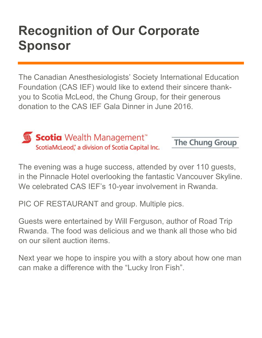## **Recognition of Our Corporate Sponsor**

The Canadian Anesthesiologists' Society International Education Foundation (CAS IEF) would like to extend their sincere thankyou to Scotia McLeod, the Chung Group, for their generous donation to the CAS IEF Gala Dinner in June 2016.



**Scotia** Wealth Management ScotiaMcLeod, a division of Scotia Capital Inc.

The Chung Group

The evening was a huge success, attended by over 110 guests, in the Pinnacle Hotel overlooking the fantastic Vancouver Skyline. We celebrated CAS IEF's 10-year involvement in Rwanda.

PIC OF RESTAURANT and group. Multiple pics.

Guests were entertained by Will Ferguson, author of Road Trip Rwanda. The food was delicious and we thank all those who bid on our silent auction items.

Next year we hope to inspire you with a story about how one man can make a difference with the "Lucky Iron Fish".